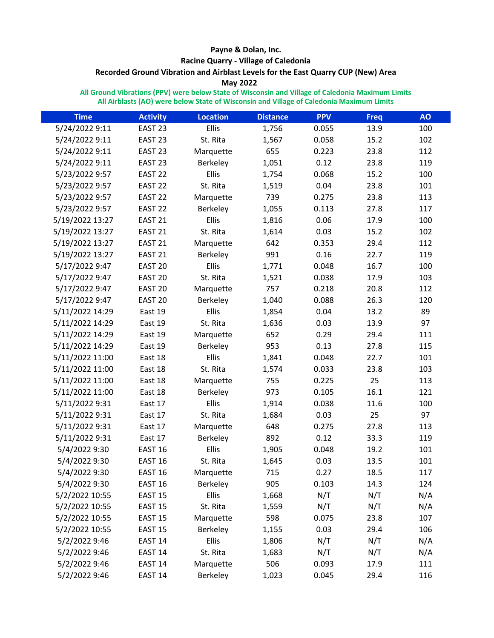## **Payne & Dolan, Inc.**

## **Racine Quarry - Village of Caledonia**

# **Recorded Ground Vibration and Airblast Levels for the East Quarry CUP (New) Area**

## **May 2022**

**All Ground Vibrations (PPV) were below State of Wisconsin and Village of Caledonia Maximum Limits All Airblasts (AO) were below State of Wisconsin and Village of Caledonia Maximum Limits**

| <b>Time</b>     | <b>Activity</b>    | <b>Location</b> | <b>Distance</b> | <b>PPV</b> | <b>Freq</b> | <b>AO</b> |
|-----------------|--------------------|-----------------|-----------------|------------|-------------|-----------|
| 5/24/2022 9:11  | EAST <sub>23</sub> | Ellis           | 1,756           | 0.055      | 13.9        | 100       |
| 5/24/2022 9:11  | EAST <sub>23</sub> | St. Rita        | 1,567           | 0.058      | 15.2        | 102       |
| 5/24/2022 9:11  | EAST <sub>23</sub> | Marquette       | 655             | 0.223      | 23.8        | 112       |
| 5/24/2022 9:11  | EAST <sub>23</sub> | Berkeley        | 1,051           | 0.12       | 23.8        | 119       |
| 5/23/2022 9:57  | EAST <sub>22</sub> | Ellis           | 1,754           | 0.068      | 15.2        | 100       |
| 5/23/2022 9:57  | EAST <sub>22</sub> | St. Rita        | 1,519           | 0.04       | 23.8        | 101       |
| 5/23/2022 9:57  | EAST <sub>22</sub> | Marquette       | 739             | 0.275      | 23.8        | 113       |
| 5/23/2022 9:57  | EAST <sub>22</sub> | Berkeley        | 1,055           | 0.113      | 27.8        | 117       |
| 5/19/2022 13:27 | EAST <sub>21</sub> | Ellis           | 1,816           | 0.06       | 17.9        | 100       |
| 5/19/2022 13:27 | EAST <sub>21</sub> | St. Rita        | 1,614           | 0.03       | 15.2        | 102       |
| 5/19/2022 13:27 | EAST <sub>21</sub> | Marquette       | 642             | 0.353      | 29.4        | 112       |
| 5/19/2022 13:27 | EAST <sub>21</sub> | Berkeley        | 991             | 0.16       | 22.7        | 119       |
| 5/17/2022 9:47  | EAST <sub>20</sub> | <b>Ellis</b>    | 1,771           | 0.048      | 16.7        | 100       |
| 5/17/2022 9:47  | EAST <sub>20</sub> | St. Rita        | 1,521           | 0.038      | 17.9        | 103       |
| 5/17/2022 9:47  | EAST <sub>20</sub> | Marquette       | 757             | 0.218      | 20.8        | 112       |
| 5/17/2022 9:47  | EAST <sub>20</sub> | Berkeley        | 1,040           | 0.088      | 26.3        | 120       |
| 5/11/2022 14:29 | East 19            | Ellis           | 1,854           | 0.04       | 13.2        | 89        |
| 5/11/2022 14:29 | East 19            | St. Rita        | 1,636           | 0.03       | 13.9        | 97        |
| 5/11/2022 14:29 | East 19            | Marquette       | 652             | 0.29       | 29.4        | 111       |
| 5/11/2022 14:29 | East 19            | Berkeley        | 953             | 0.13       | 27.8        | 115       |
| 5/11/2022 11:00 | East 18            | Ellis           | 1,841           | 0.048      | 22.7        | 101       |
| 5/11/2022 11:00 | East 18            | St. Rita        | 1,574           | 0.033      | 23.8        | 103       |
| 5/11/2022 11:00 | East 18            | Marquette       | 755             | 0.225      | 25          | 113       |
| 5/11/2022 11:00 | East 18            | Berkeley        | 973             | 0.105      | 16.1        | 121       |
| 5/11/2022 9:31  | East 17            | <b>Ellis</b>    | 1,914           | 0.038      | 11.6        | 100       |
| 5/11/2022 9:31  | East 17            | St. Rita        | 1,684           | 0.03       | 25          | 97        |
| 5/11/2022 9:31  | East 17            | Marquette       | 648             | 0.275      | 27.8        | 113       |
| 5/11/2022 9:31  | East 17            | Berkeley        | 892             | 0.12       | 33.3        | 119       |
| 5/4/2022 9:30   | EAST 16            | Ellis           | 1,905           | 0.048      | 19.2        | 101       |
| 5/4/2022 9:30   | EAST <sub>16</sub> | St. Rita        | 1,645           | 0.03       | 13.5        | 101       |
| 5/4/2022 9:30   | EAST 16            | Marquette       | 715             | 0.27       | 18.5        | 117       |
| 5/4/2022 9:30   | EAST 16            | Berkeley        | 905             | 0.103      | 14.3        | 124       |
| 5/2/2022 10:55  | EAST <sub>15</sub> | <b>Ellis</b>    | 1,668           | N/T        | N/T         | N/A       |
| 5/2/2022 10:55  | EAST <sub>15</sub> | St. Rita        | 1,559           | N/T        | N/T         | N/A       |
| 5/2/2022 10:55  | EAST <sub>15</sub> | Marquette       | 598             | 0.075      | 23.8        | 107       |
| 5/2/2022 10:55  | EAST <sub>15</sub> | Berkeley        | 1,155           | 0.03       | 29.4        | 106       |
| 5/2/2022 9:46   | EAST <sub>14</sub> | Ellis           | 1,806           | N/T        | N/T         | N/A       |
| 5/2/2022 9:46   | EAST <sub>14</sub> | St. Rita        | 1,683           | N/T        | N/T         | N/A       |
| 5/2/2022 9:46   | EAST 14            | Marquette       | 506             | 0.093      | 17.9        | 111       |
| 5/2/2022 9:46   | EAST 14            | Berkeley        | 1,023           | 0.045      | 29.4        | 116       |